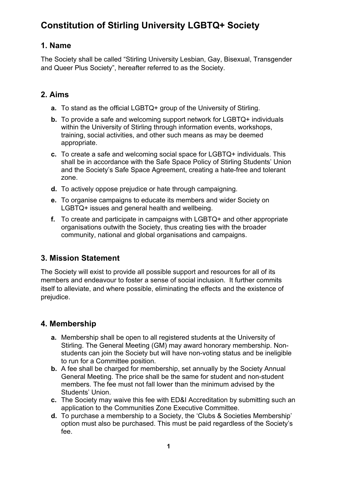## **1. Name**

The Society shall be called "Stirling University Lesbian, Gay, Bisexual, Transgender and Queer Plus Society", hereafter referred to as the Society.

## **2. Aims**

- **a.** To stand as the official LGBTQ+ group of the University of Stirling.
- **b.** To provide a safe and welcoming support network for LGBTQ+ individuals within the University of Stirling through information events, workshops, training, social activities, and other such means as may be deemed appropriate.
- **c.** To create a safe and welcoming social space for LGBTQ+ individuals. This shall be in accordance with the Safe Space Policy of Stirling Students' Union and the Society's Safe Space Agreement, creating a hate-free and tolerant zone.
- **d.** To actively oppose prejudice or hate through campaigning.
- **e.** To organise campaigns to educate its members and wider Society on LGBTQ+ issues and general health and wellbeing.
- **f.** To create and participate in campaigns with LGBTQ+ and other appropriate organisations outwith the Society, thus creating ties with the broader community, national and global organisations and campaigns.

## **3. Mission Statement**

The Society will exist to provide all possible support and resources for all of its members and endeavour to foster a sense of social inclusion. It further commits itself to alleviate, and where possible, eliminating the effects and the existence of prejudice.

## **4. Membership**

- **a.** Membership shall be open to all registered students at the University of Stirling. The General Meeting (GM) may award honorary membership. Nonstudents can join the Society but will have non-voting status and be ineligible to run for a Committee position.
- **b.** A fee shall be charged for membership, set annually by the Society Annual General Meeting. The price shall be the same for student and non-student members. The fee must not fall lower than the minimum advised by the Students' Union.
- **c.** The Society may waive this fee with ED&I Accreditation by submitting such an application to the Communities Zone Executive Committee.
- **d.** To purchase a membership to a Society, the 'Clubs & Societies Membership' option must also be purchased. This must be paid regardless of the Society's fee.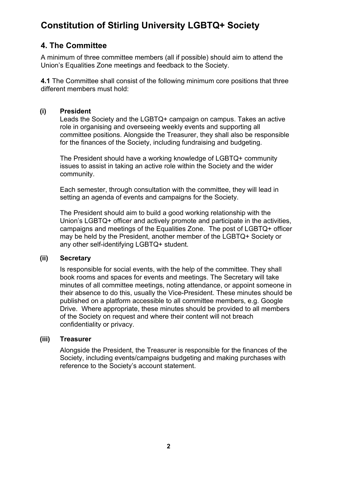### **4. The Committee**

A minimum of three committee members (all if possible) should aim to attend the Union's Equalities Zone meetings and feedback to the Society.

**4.1** The Committee shall consist of the following minimum core positions that three different members must hold:

#### **(i) President**

Leads the Society and the LGBTQ+ campaign on campus. Takes an active role in organising and overseeing weekly events and supporting all committee positions. Alongside the Treasurer, they shall also be responsible for the finances of the Society, including fundraising and budgeting.

The President should have a working knowledge of LGBTQ+ community issues to assist in taking an active role within the Society and the wider community.

Each semester, through consultation with the committee, they will lead in setting an agenda of events and campaigns for the Society.

The President should aim to build a good working relationship with the Union's LGBTQ+ officer and actively promote and participate in the activities, campaigns and meetings of the Equalities Zone. The post of LGBTQ+ officer may be held by the President, another member of the LGBTQ+ Society or any other self-identifying LGBTQ+ student.

#### **(ii) Secretary**

Is responsible for social events, with the help of the committee. They shall book rooms and spaces for events and meetings. The Secretary will take minutes of all committee meetings, noting attendance, or appoint someone in their absence to do this, usually the Vice-President. These minutes should be published on a platform accessible to all committee members, e.g. Google Drive. Where appropriate, these minutes should be provided to all members of the Society on request and where their content will not breach confidentiality or privacy.

#### **(iii) Treasurer**

Alongside the President, the Treasurer is responsible for the finances of the Society, including events/campaigns budgeting and making purchases with reference to the Society's account statement.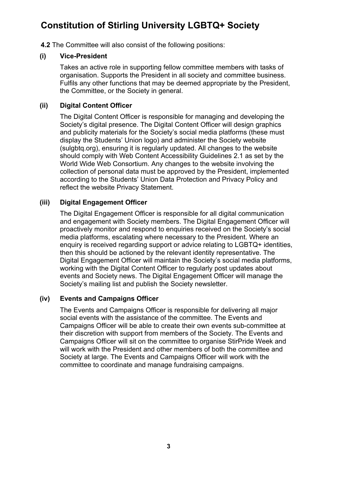**4.2** The Committee will also consist of the following positions:

#### **(i) Vice-President**

Takes an active role in supporting fellow committee members with tasks of organisation. Supports the President in all society and committee business. Fulfils any other functions that may be deemed appropriate by the President, the Committee, or the Society in general.

#### **(ii) Digital Content Officer**

The Digital Content Officer is responsible for managing and developing the Society's digital presence. The Digital Content Officer will design graphics and publicity materials for the Society's social media platforms (these must display the Students' Union logo) and administer the Society website (sulgbtq.org), ensuring it is regularly updated. All changes to the website should comply with Web Content Accessibility Guidelines 2.1 as set by the World Wide Web Consortium. Any changes to the website involving the collection of personal data must be approved by the President, implemented according to the Students' Union Data Protection and Privacy Policy and reflect the website Privacy Statement.

#### **(iii) Digital Engagement Officer**

The Digital Engagement Officer is responsible for all digital communication and engagement with Society members. The Digital Engagement Officer will proactively monitor and respond to enquiries received on the Society's social media platforms, escalating where necessary to the President. Where an enquiry is received regarding support or advice relating to LGBTQ+ identities, then this should be actioned by the relevant identity representative. The Digital Engagement Officer will maintain the Society's social media platforms, working with the Digital Content Officer to regularly post updates about events and Society news. The Digital Engagement Officer will manage the Society's mailing list and publish the Society newsletter.

#### **(iv) Events and Campaigns Officer**

The Events and Campaigns Officer is responsible for delivering all major social events with the assistance of the committee. The Events and Campaigns Officer will be able to create their own events sub-committee at their discretion with support from members of the Society. The Events and Campaigns Officer will sit on the committee to organise StirPride Week and will work with the President and other members of both the committee and Society at large. The Events and Campaigns Officer will work with the committee to coordinate and manage fundraising campaigns.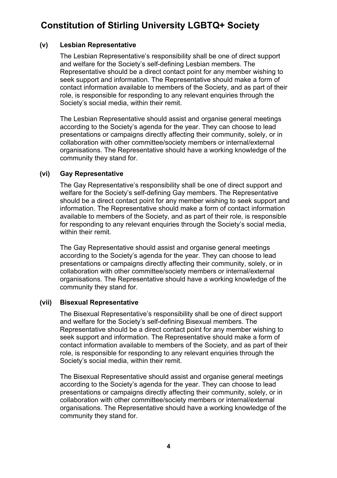#### **(v) Lesbian Representative**

The Lesbian Representative's responsibility shall be one of direct support and welfare for the Society's self-defining Lesbian members. The Representative should be a direct contact point for any member wishing to seek support and information. The Representative should make a form of contact information available to members of the Society, and as part of their role, is responsible for responding to any relevant enquiries through the Society's social media, within their remit.

The Lesbian Representative should assist and organise general meetings according to the Society's agenda for the year. They can choose to lead presentations or campaigns directly affecting their community, solely, or in collaboration with other committee/society members or internal/external organisations. The Representative should have a working knowledge of the community they stand for.

#### **(vi) Gay Representative**

The Gay Representative's responsibility shall be one of direct support and welfare for the Society's self-defining Gay members. The Representative should be a direct contact point for any member wishing to seek support and information. The Representative should make a form of contact information available to members of the Society, and as part of their role, is responsible for responding to any relevant enquiries through the Society's social media, within their remit.

The Gay Representative should assist and organise general meetings according to the Society's agenda for the year. They can choose to lead presentations or campaigns directly affecting their community, solely, or in collaboration with other committee/society members or internal/external organisations. The Representative should have a working knowledge of the community they stand for.

#### **(vii) Bisexual Representative**

The Bisexual Representative's responsibility shall be one of direct support and welfare for the Society's self-defining Bisexual members. The Representative should be a direct contact point for any member wishing to seek support and information. The Representative should make a form of contact information available to members of the Society, and as part of their role, is responsible for responding to any relevant enquiries through the Society's social media, within their remit.

The Bisexual Representative should assist and organise general meetings according to the Society's agenda for the year. They can choose to lead presentations or campaigns directly affecting their community, solely, or in collaboration with other committee/society members or internal/external organisations. The Representative should have a working knowledge of the community they stand for.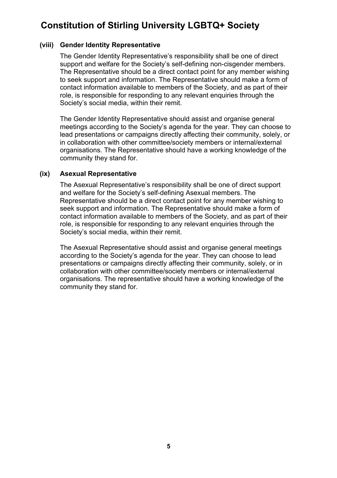#### **(viii) Gender Identity Representative**

The Gender Identity Representative's responsibility shall be one of direct support and welfare for the Society's self-defining non-cisgender members. The Representative should be a direct contact point for any member wishing to seek support and information. The Representative should make a form of contact information available to members of the Society, and as part of their role, is responsible for responding to any relevant enquiries through the Society's social media, within their remit.

The Gender Identity Representative should assist and organise general meetings according to the Society's agenda for the year. They can choose to lead presentations or campaigns directly affecting their community, solely, or in collaboration with other committee/society members or internal/external organisations. The Representative should have a working knowledge of the community they stand for.

#### **(ix) Asexual Representative**

The Asexual Representative's responsibility shall be one of direct support and welfare for the Society's self-defining Asexual members. The Representative should be a direct contact point for any member wishing to seek support and information. The Representative should make a form of contact information available to members of the Society, and as part of their role, is responsible for responding to any relevant enquiries through the Society's social media, within their remit.

The Asexual Representative should assist and organise general meetings according to the Society's agenda for the year. They can choose to lead presentations or campaigns directly affecting their community, solely, or in collaboration with other committee/society members or internal/external organisations. The representative should have a working knowledge of the community they stand for.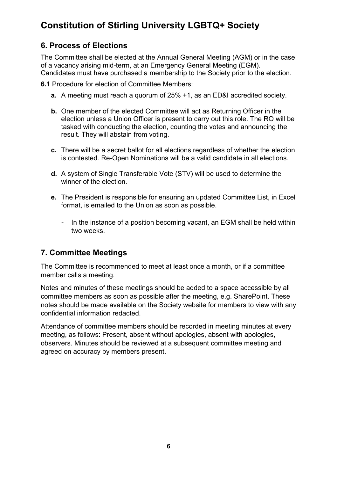## **6. Process of Elections**

The Committee shall be elected at the Annual General Meeting (AGM) or in the case of a vacancy arising mid-term, at an Emergency General Meeting (EGM). Candidates must have purchased a membership to the Society prior to the election.

**6.1** Procedure for election of Committee Members:

- **a.** A meeting must reach a quorum of 25% +1, as an ED&I accredited society.
- **b.** One member of the elected Committee will act as Returning Officer in the election unless a Union Officer is present to carry out this role. The RO will be tasked with conducting the election, counting the votes and announcing the result. They will abstain from voting.
- **c.** There will be a secret ballot for all elections regardless of whether the election is contested. Re-Open Nominations will be a valid candidate in all elections.
- **d.** A system of Single Transferable Vote (STV) will be used to determine the winner of the election.
- **e.** The President is responsible for ensuring an updated Committee List, in Excel format, is emailed to the Union as soon as possible.
	- In the instance of a position becoming vacant, an EGM shall be held within two weeks.

## **7. Committee Meetings**

The Committee is recommended to meet at least once a month, or if a committee member calls a meeting.

Notes and minutes of these meetings should be added to a space accessible by all committee members as soon as possible after the meeting, e.g. SharePoint. These notes should be made available on the Society website for members to view with any confidential information redacted.

Attendance of committee members should be recorded in meeting minutes at every meeting, as follows: Present, absent without apologies, absent with apologies, observers. Minutes should be reviewed at a subsequent committee meeting and agreed on accuracy by members present.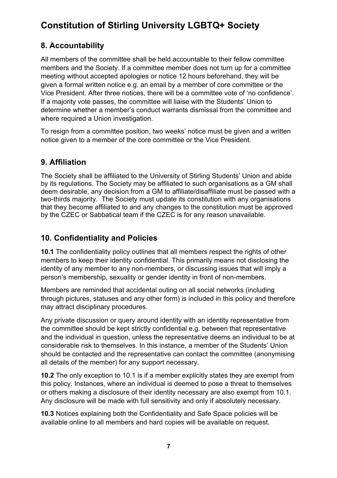## **8. Accountability**

All members of the committee shall be held accountable to their fellow committee members and the Society. If a committee member does not turn up for a committee meeting without accepted apologies or notice 12 hours beforehand, they will be given a formal written notice e.g. an email by a member of core committee or the Vice President. After three notices, there will be a committee vote of 'no confidence'. If a majority vote passes, the committee will liaise with the Students' Union to determine whether a member's conduct warrants dismissal from the committee and where required a Union investigation.

To resign from a committee position, two weeks' notice must be given and a written notice given to a member of the core committee or the Vice President.

## **9. Affiliation**

The Society shall be affiliated to the University of Stirling Students' Union and abide by its regulations. The Society may be affiliated to such organisations as a GM shall deem desirable, any decision from a GM to affiliate/disaffiliate must be passed with a two-thirds majority. The Society must update its constitution with any organisations that they become affiliated to and any changes to the constitution must be approved by the CZEC or Sabbatical team if the CZEC is for any reason unavailable.

## **10. Confidentiality and Policies**

**10.1** The confidentiality policy outlines that all members respect the rights of other members to keep their identity confidential. This primarily means not disclosing the identity of any member to any non-members, or discussing issues that will imply a person's membership, sexuality or gender identity in front of non-members.

Members are reminded that accidental outing on all social networks (including through pictures, statuses and any other form) is included in this policy and therefore may attract disciplinary procedures.

Any private discussion or query around identity with an identity representative from the committee should be kept strictly confidential e.g. between that representative and the individual in question, unless the representative deems an individual to be at considerable risk to themselves. In this instance, a member of the Students' Union should be contacted and the representative can contact the committee (anonymising all details of the member) for any support necessary.

**10.2** The only exception to 10.1 is if a member explicitly states they are exempt from this policy. Instances, where an individual is deemed to pose a threat to themselves or others making a disclosure of their identity necessary are also exempt from 10.1. Any disclosure will be made with full sensitivity and only if absolutely necessary.

**10.3** Notices explaining both the Confidentiality and Safe Space policies will be available online to all members and hard copies will be available on request.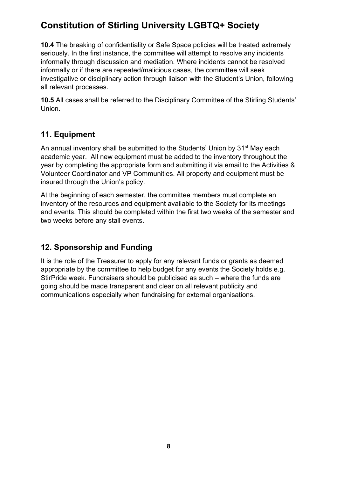**10.4** The breaking of confidentiality or Safe Space policies will be treated extremely seriously. In the first instance, the committee will attempt to resolve any incidents informally through discussion and mediation. Where incidents cannot be resolved informally or if there are repeated/malicious cases, the committee will seek investigative or disciplinary action through liaison with the Student's Union, following all relevant processes.

**10.5** All cases shall be referred to the Disciplinary Committee of the Stirling Students' Union.

## **11. Equipment**

An annual inventory shall be submitted to the Students' Union by 31<sup>st</sup> May each academic year. All new equipment must be added to the inventory throughout the year by completing the appropriate form and submitting it via email to the Activities & Volunteer Coordinator and VP Communities. All property and equipment must be insured through the Union's policy.

At the beginning of each semester, the committee members must complete an inventory of the resources and equipment available to the Society for its meetings and events. This should be completed within the first two weeks of the semester and two weeks before any stall events.

## **12. Sponsorship and Funding**

It is the role of the Treasurer to apply for any relevant funds or grants as deemed appropriate by the committee to help budget for any events the Society holds e.g. StirPride week. Fundraisers should be publicised as such – where the funds are going should be made transparent and clear on all relevant publicity and communications especially when fundraising for external organisations.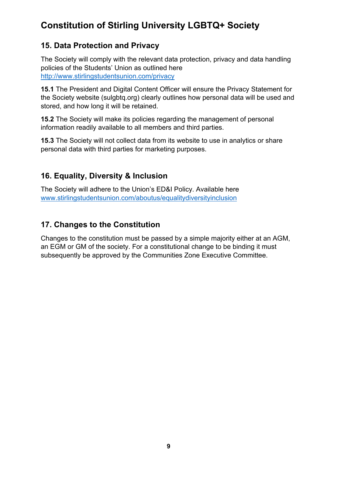## **15. Data Protection and Privacy**

The Society will comply with the relevant data protection, privacy and data handling policies of the Students' Union as outlined here http://www.stirlingstudentsunion.com/privacy

**15.1** The President and Digital Content Officer will ensure the Privacy Statement for the Society website (sulgbtq.org) clearly outlines how personal data will be used and stored, and how long it will be retained.

**15.2** The Society will make its policies regarding the management of personal information readily available to all members and third parties.

**15.3** The Society will not collect data from its website to use in analytics or share personal data with third parties for marketing purposes.

## **16. Equality, Diversity & Inclusion**

The Society will adhere to the Union's ED&I Policy. Available here www.stirlingstudentsunion.com/aboutus/equalitydiversityinclusion

## **17. Changes to the Constitution**

Changes to the constitution must be passed by a simple majority either at an AGM, an EGM or GM of the society. For a constitutional change to be binding it must subsequently be approved by the Communities Zone Executive Committee.